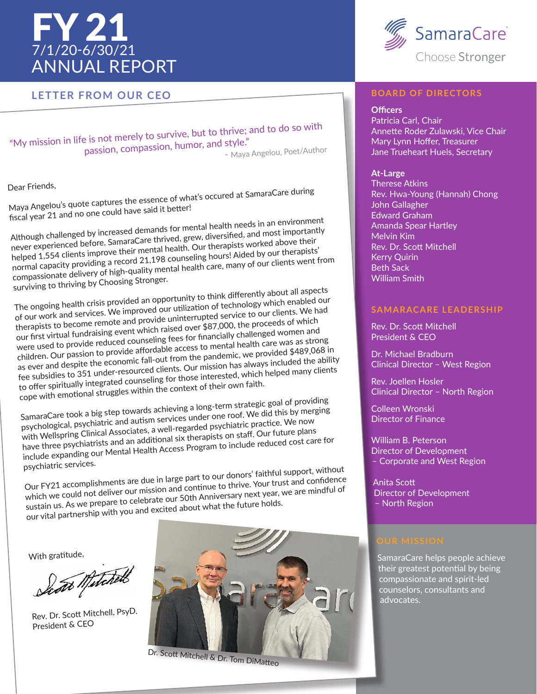# FY 21 7/1/20-6/30/21 ANNUAL REPORT

## **LETTER FROM OUR CEO**

"My mission in life is not merely to survive, but to thrive; and to do so with<br>passion, compassion, humor, and style."<br>Alaya Angelou. Poet/Author  $p$  is not merery to sure.<br>passion, compassion, humor, and style." passion, compassion, number, and reduced by Angelou, Poet/Author

Dear Friends,

Maya Angelou's quote captures the essence of what's occured at SamaraCare during fiscal year 21 and no one could have said it better!

Although challenged by increased demands for mental health needs in an environment never experienced before, SamaraCare thrived, grew, diversified, and most importantly helped 1,554 clients improve their mental health. Our therapists worked above their normal capacity providing a record 21,198 counseling hours! Aided by our therapists' compassionate delivery of high-quality mental health care, many of our clients went from surviving to thriving by Choosing Stronger.

The ongoing health crisis provided an opportunity to think differently about all aspects of our work and services. We improved our utilization of technology which enabled our of our work and services. We improved our utilization of technology which enabled our therapists to become remote and provide uninterrupted service to our clients. We had our first virtual fundraising event which raised over \$87,000, the proceeds of which were used to provide reduced counseling fees for financially challenged women and were used to provide reduced counseling fees for financially challenged women and children. Our passion to provide affordable access to mental health care was as strong as ever and despite the economic fall-out from the pandemic, we provided \$489,068 in fee subsidies to 351 under-resourced clients. Our mission has always included the ability to offer spiritually integrated counseling for those interested, which helped many clients cope with emotional struggles within the context of their own faith.

SamaraCare took a big step towards achieving a long-term strategic goal of providing psychological, psychiatric and autism services under one roof. We did this by merging with Wellspring Clinical Associates, a well-regarded psychiatric practice. We now have three psychiatrists and an additional six therapists on staff. Our future plans include expanding our Mental Health Access Program to include reduced cost care for psychiatric services.

Our FY21 accomplishments are due in large part to our donors' faithful support, without which we could not deliver our mission and continue to thrive. Your trust and confidence which we could not deliver our mission and continue to thrive. Your trust and confidence sustain us. As we prepare to celebrate our 50th Anniversary next year, we are mindful of sustain us. As we prepare to celebrate our 50th Anniversary next year, we are mindful of our vital partnership with you and excited about what the future holds.

With gratitude,

how Mitchell

Rev. Dr. Scott Mitchell, PsyD. President & CEO





## **BOARD OF DIRECTORS**

#### **Officers**

Patricia Carl, Chair Annette Roder Zulawski, Vice Chair Mary Lynn Hoffer, Treasurer Jane Trueheart Huels, Secretary

### **At-Large**

Therese Atkins Rev. Hwa-Young (Hannah) Chong John Gallagher Edward Graham Amanda Spear Hartley Melvin Kim Rev. Dr. Scott Mitchell Kerry Quirin Beth Sack William Smith

## **SAMARACARE LEADERSHIP**

Rev. Dr. Scott Mitchell President & CEO

Dr. Michael Bradburn Clinical Director – West Region

Rev. Joellen Hosler Clinical Director – North Region

Colleen Wronski Director of Finance

William B. Peterson Director of Development – Corporate and West Region

Anita Scott Director of Development – North Region

SamaraCare helps people achieve their greatest potential by being compassionate and spirit-led counselors, consultants and advocates.